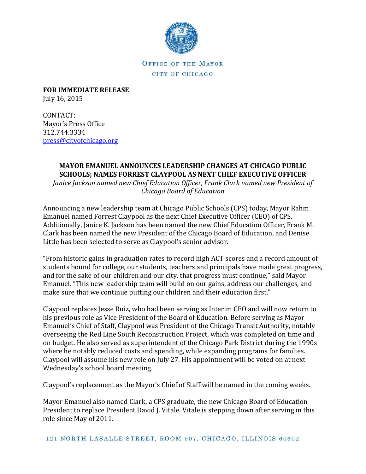

OFFICE OF THE MAYOR CITY OF CHICAGO

**FOR IMMEDIATE RELEASE** July 16, 2015

CONTACT: Mayor's Press Office 312.744.3334 [press@cityofchicago.org](mailto:press@cityofchicago.org)

## **MAYOR EMANUEL ANNOUNCES LEADERSHIP CHANGES AT CHICAGO PUBLIC SCHOOLS; NAMES FORREST CLAYPOOL AS NEXT CHIEF EXECUTIVE OFFICER**

*Janice Jackson named new Chief Education Officer, Frank Clark named new President of Chicago Board of Education*

Announcing a new leadership team at Chicago Public Schools (CPS) today, Mayor Rahm Emanuel named Forrest Claypool as the next Chief Executive Officer (CEO) of CPS. Additionally, Janice K. Jackson has been named the new Chief Education Officer, Frank M. Clark has been named the new President of the Chicago Board of Education, and Denise Little has been selected to serve as Claypool's senior advisor.

"From historic gains in graduation rates to record high ACT scores and a record amount of students bound for college, our students, teachers and principals have made great progress, and for the sake of our children and our city, that progress must continue," said Mayor Emanuel. "This new leadership team will build on our gains, address our challenges, and make sure that we continue putting our children and their education first."

Claypool replaces Jesse Ruiz, who had been serving as Interim CEO and will now return to his previous role as Vice President of the Board of Education. Before serving as Mayor Emanuel's Chief of Staff, Claypool was President of the Chicago Transit Authority, notably overseeing the Red Line South Reconstruction Project, which was completed on time and on budget. He also served as superintendent of the Chicago Park District during the 1990s where he notably reduced costs and spending, while expanding programs for families. Claypool will assume his new role on July 27. His appointment will be voted on at next Wednesday's school board meeting.

Claypool's replacement as the Mayor's Chief of Staff will be named in the coming weeks.

Mayor Emanuel also named Clark, a CPS graduate, the new Chicago Board of Education President to replace President David J. Vitale. Vitale is stepping down after serving in this role since May of 2011.